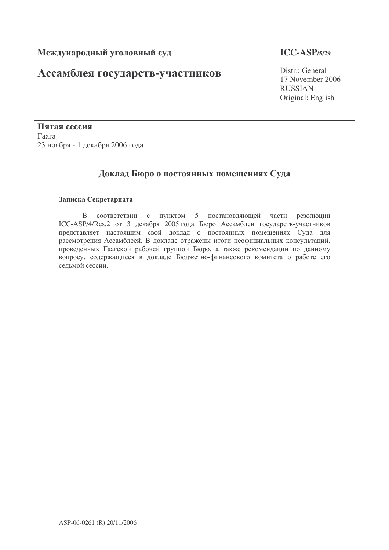# **Ассамблея государств-участников** Distr.: General

### **ICC-ASP/5/29**

17 November 2006 RUSSIAN Original: English

Пятая сессия Гаага 23 ноября - 1 декабря 2006 года

## Доклад Бюро о постоянных помещениях Суда

#### Записка Секретариата

В соответствии с пунктом 5 постановляющей части резолюции ICC-ASP/4/Res.2 от 3 декабря 2005 года Бюро Ассамблеи государств-участников представляет настоящим свой доклад о постоянных помещениях Суда для рассмотрения Ассамблеей. В докладе отражены итоги неофициальных консультаций, проведенных Гаагской рабочей группой Бюро, а также рекомендации по данному вопросу, содержащиеся в докладе Бюджетно-финансового комитета о работе его седьмой сессии.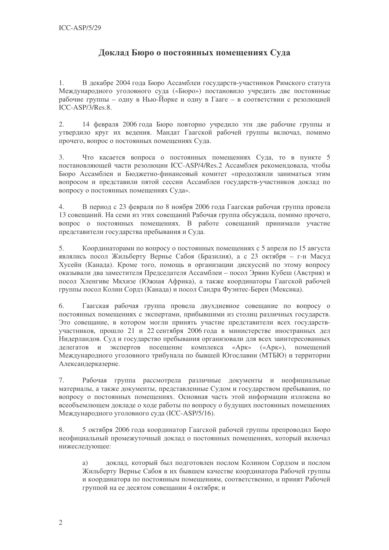## Доклад Бюро о постоянных помещениях Суда

В декабре 2004 года Бюро Ассамблеи государств-участников Римского статута  $1.$ Международного уголовного суда («Бюро») постановило учредить две постоянные рабочие группы – одну в Нью-Йорке и одну в Гааге – в соответствии с резолюцией ICC-ASP/3/Res.8.

 $2.$ 14 февраля 2006 года Бюро повторно учредило эти две рабочие группы и утвердило круг их ведения. Мандат Гаагской рабочей группы включал, помимо прочего, вопрос о постоянных помещениях Суда.

 $\overline{3}$ . Что касается вопроса о постоянных помещениях Суда, то в пункте 5 постановляющей части резолюции ICC-ASP/4/Res.2 Ассамблея рекомендовала, чтобы Бюро Ассамблеи и Бюджетно-финансовый комитет «продолжили заниматься этим вопросом и представили пятой сессии Ассамблеи государств-участников доклад по вопросу о постоянных помещениях Суда».

 $4.$ В период с 23 февраля по 8 ноября 2006 года Гаагская рабочая группа провела 13 совещаний. На семи из этих совещаний Рабочая группа обсуждала, помимо прочего, вопрос о постоянных помещениях. В работе совещаний принимали участие представители государства пребывания и Суда.

Координаторами по вопросу о постоянных помешениях с 5 апреля по 15 августа  $5<sub>1</sub>$ являлись посол Жильберту Вернье Сабоя (Бразилия), а с 23 октября - г-н Масуд Хусейн (Канада). Кроме того, помощь в организации дискуссий по этому вопросу оказывали два заместителя Председателя Ассамблеи - посол Эрвин Кубеш (Австрия) и посол Хленгиве Мкхизе (Южная Африка), а также координаторы Гаагской рабочей группы посол Колин Сордз (Канада) и посол Сандра Фуэнтес-Берен (Мексика).

 $6<sub>1</sub>$ Гаагская рабочая группа провела двухдневное совещание по вопросу о постоянных помещениях с экспертами, прибывшими из столиц различных государств. Это совещание, в котором могли принять участие представители всех государствучастников, прошло 21 и 22 сентября 2006 года в министерстве иностранных дел Нидерландов. Суд и государство пребывания организовали для всех заинтересованных делегатов и экспертов посещение комплекса «Арк» («Арк»), помещений Международного уголовного трибунала по бывшей Югославии (МТБЮ) и территории Александерказерне.

 $7<sub>1</sub>$ Рабочая группа рассмотрела различные документы и неофициальные материалы, а также документы, представленные Судом и государством пребывания, по вопросу о постоянных помещениях. Основная часть этой информации изложена во всеобъемлющем докладе о ходе работы по вопросу о будущих постоянных помещениях Международного уголовного суда (ICC-ASP/5/16).

5 октября 2006 года координатор Гаагской рабочей группы препроводил Бюро 8. неофициальный промежуточный доклад о постоянных помещениях, который включал нижеследующее:

доклад, который был подготовлен послом Колином Сордзом и послом a) Жильберту Вернье Сабоя в их бывшем качестве координатора Рабочей группы и координатора по постоянным помещениям, соответственно, и принят Рабочей группой на ее десятом совещании 4 октября; и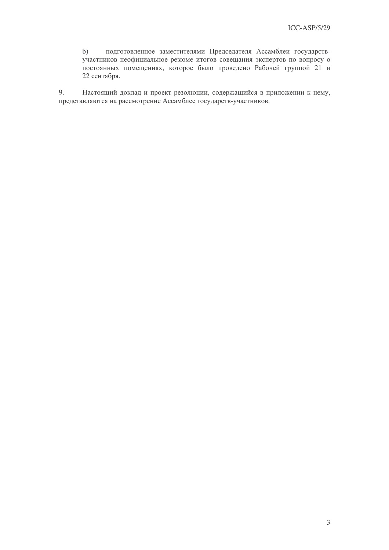подготовленное заместителями Председателя Ассамблеи государств $b)$ участников неофициальное резюме итогов совещания экспертов по вопросу о постоянных помещениях, которое было проведено Рабочей группой 21 и 22 сентября.

9. Настоящий доклад и проект резолюции, содержащийся в приложении к нему, представляются на рассмотрение Ассамблее государств-участников.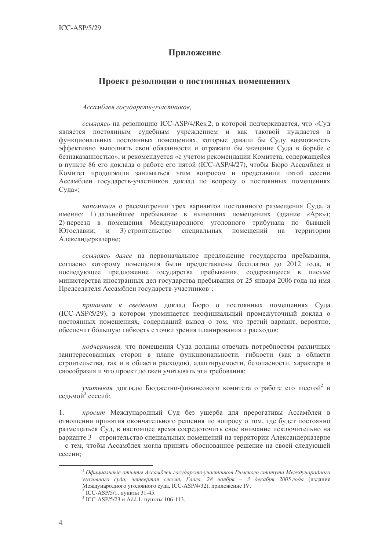#### Приложение

#### Проект резолюции о постоянных помещениях

Ассамблея государств-участников,

ссылаясь на резолюцию ICC-ASP/4/Res.2, в которой подчеркивается, что «Суд является постоянным судебным учреждением и как таковой нуждается в функциональных постоянных помещениях, которые давали бы Суду возможность эффективно выполнять свои обязанности и отражали бы значение Суда в борьбе с безнаказанностью», и рекомендуется «с учетом рекомендации Комитета, содержащейся в пункте 86 его доклада о работе его пятой (ICC-ASP/4/27), чтобы Бюро Ассамблеи и Комитет продолжили заниматься этим вопросом и представили пятой сессии Ассамблеи государств-участников доклад по вопросу о постоянных помещениях Суда»;

напоминая о рассмотрении трех вариантов постоянного размещения Суда, а именно: 1) лальнейшее пребывание в нынешних помешениях (злание «Арк»); 2) переезд в помещения Международного уголовного трибунала по бывшей Югославии; и 3) строительство специальных помещений на территории Александерказерне;

ссылаясь далее на первоначальное предложение государства пребывания, согласно которому помещения были предоставлены бесплатно до 2012 года, и последующее предложение государства пребывания, содержащееся в письме министерства иностранных дел государства пребывания от 25 января 2006 года на имя Председателя Ассамблеи государств-участников<sup>1</sup>;

принимая к сведению доклад Бюро о постоянных помещениях Суда (ICC-ASP/5/29), в котором упоминается неофициальный промежуточный доклад о постоянных помещениях, содержащий вывод о том, что третий вариант, вероятно, обеспечит бо́льшую гибкость с точки зрения планирования и расходов;

подчеркивая, что помещения Суда должны отвечать потребностям различных заинтересованных сторон в плане функциональности, гибкости (как в области строительства, так и в области расходов), адаптируемости, безопасности, характера и своеобразия и что проект должен учитывать эти требования;

учитывая доклады Бюджетно-финансового комитета о работе его шестой<sup>2</sup> и седьмой<sup>3</sup> сессий;

просит Международный Суд без ущерба для прерогативы Ассамблеи в  $1$ отношении принятия окончательного решения по вопросу о том, где будет постоянно размещаться Суд, в настоящее время сосредоточить свое внимание исключительно на варианте 3 - строительство специальных помещений на территории Александерказерне - с тем, чтобы Ассамблея могла принять обоснованное решение на своей следующей сессии;

 $^1$ Официальные отчеты Ассамблеи государств-участников Римского статута Международного уголовного суда, четвертая сессия, Гаага, 28 ноября - 3 декабря 2005 года (издание Международного уголовного суда, ICC-ASP/4/32), приложение IV.

<sup>&</sup>lt;sup>2</sup> ICC-ASP/5/1, пункты 31-45.

<sup>&</sup>lt;sup>3</sup> ICC-ASP/5/23 и Add.1, пункты 106-113.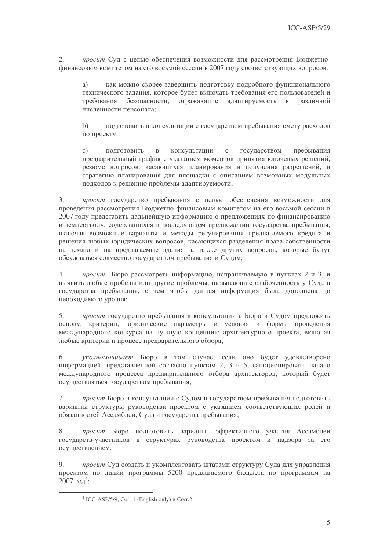просит Суд с целью обеспечения возможности для рассмотрения Бюджетно-2. финансовым комитетом на его восьмой сессии в 2007 году соответствующих вопросов:

как можно скорее завершить подготовку подробного функционального a) технического задания, которое будет включать требования его пользователей и к различной требования безопасности, отражающие адаптируемость численности персонала;

подготовить в консультации с государством пребывания смету расходов  $b)$ по проекту;

ПОЛГОТОВИТЬ консультации  $\mathbf{c}$ государством пребывания  $\mathcal{C}$ )  $\mathbf{B}$ предварительный график с указанием моментов принятия ключевых решений, резюме вопросов, касающихся планирования и получения разрешений, и стратегию планирования для площадки с описанием возможных модульных подходов к решению проблемы адаптируемости:

 $3.$ просит государство пребывания с целью обеспечения возможности для проведения рассмотрения Бюджетно-финансовым комитетом на его восьмой сессии в 2007 году представить дальнейшую информацию о предложениях по финансированию и землеотводу, содержащихся в последующем предложении государства пребывания, включая возможные варианты и методы регулирования предлагаемого кредита и решения любых юридических вопросов, касающихся разделения права собственности на землю и на предлагаемые здания, а также других вопросов, которые будут обсуждаться совместно государством пребывания и Судом;

 $4.$ просит Бюро рассмотреть информацию, испрашиваемую в пунктах 2 и 3, и выявить любые пробелы или другие проблемы, вызывающие озабоченность у Суда и государства пребывания, с тем чтобы данная информация была дополнена до необходимого уровня;

 $5<sub>1</sub>$ просит государство пребывания в консультации с Бюро и Судом предложить основу, критерии, юридические параметры и условия и формы проведения международного конкурса на лучшую концепцию архитектурного проекта, включая любые критерии и процесс предварительного обзора;

6. уполномочивает Бюро в том случае, если оно будет удовлетворено информацией, представленной согласно пунктам 2, 3 и 5, санкционировать начало международного процесса предварительного отбора архитекторов, который будет осуществляться государством пребывания;

просит Бюро в консультации с Судом и государством пребывания подготовить  $7\overline{ }$ варианты структуры руководства проектом с указанием соответствующих ролей и обязанностей Ассамблеи, Суда и государства пребывания;

8. просит Бюро подготовить варианты эффективного участия Ассамблеи государств-участников в структурах руководства проектом и надзора за его осуществлением:

9. просит Суд создать и укомплектовать штатами структуру Суда для управления проектом по линии программы 5200 предлагаемого бюджета по программам на  $2007 \text{ for}^{4}$ :

 $4$  ICC-ASP/5/9, Corr.1 (English only)  $\mu$  Corr.2.